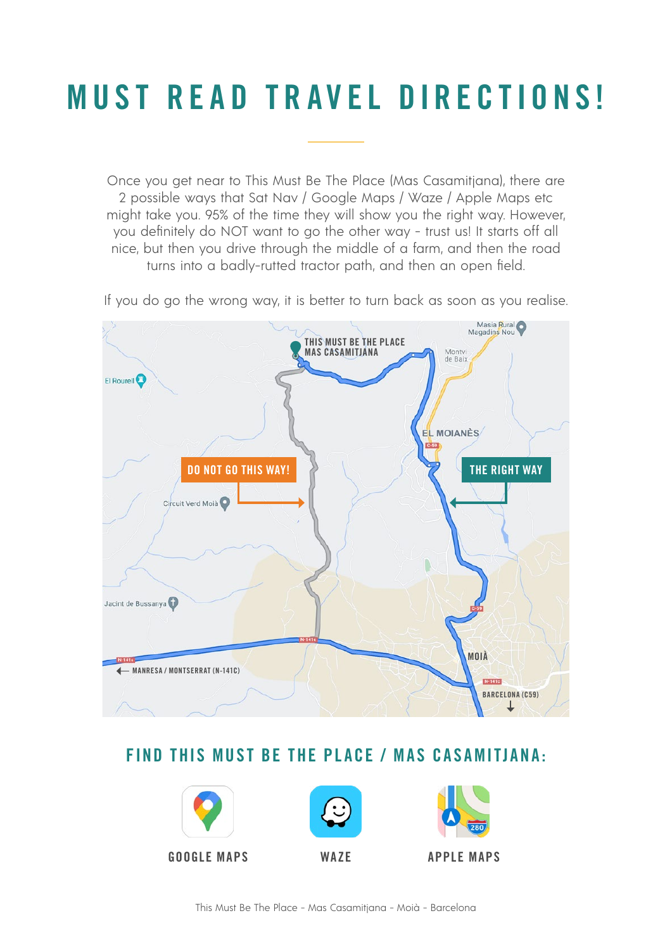# MUST READ TRAVEL DIRECTIONS!

Once you get near to This Must Be The Place (Mas Casamitjana), there are 2 possible ways that Sat Nav / Google Maps / Waze / Apple Maps etc might take you. 95% of the time they will show you the right way. However, you definitely do NOT want to go the other way - trust us! It starts off all nice, but then you drive through the middle of a farm, and then the road turns into a badly-rutted tractor path, and then an open field.

If you do go the wrong way, it is better to turn back as soon as you realise.



# FIND THIS MUST BE THE PLACE / MAS CASAMITJANA:



[GOOGLE MAPS](https://goo.gl/maps/Emt2Hq4yLb6hyaL28) [WAZE](https://waze.com/ul/hsp3qp22u6) [APPLE MAPS](https://maps.apple.com/?address=Mas%20Casamitjana,%2008180%20Moi%C3%A0,%20Barcelona,%20Spain&auid=16154541947533924080&ll=41.838307,2.077403&lsp=9902&q=This%20Must%20Be%20The%20Place%20-%20Mas%20Casamitjana&_ext=CjMKBQgEEM4BCgQIBRADCgUIBhCfAwoECAoQAAoECFIQAwoECFUQDwoECFkQAgoFCKQBEAESJCnQTjVAxd9EQDEA98yVC07/PzlsGsDc0fZEQEHAhBk1BZYBQA%3D%3D)